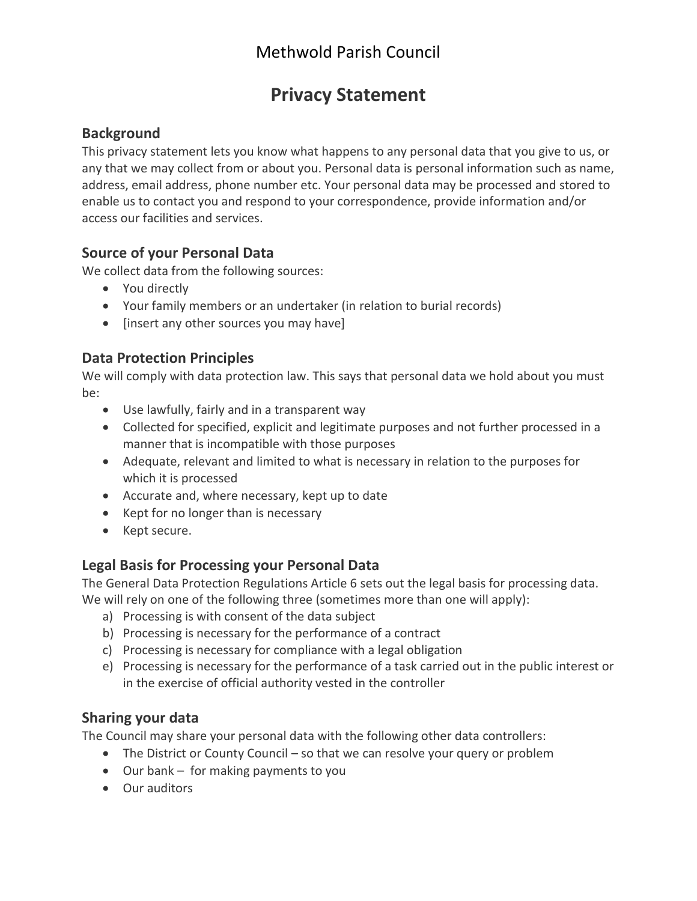# Methwold Parish Council

# **Privacy Statement**

## **Background**

This privacy statement lets you know what happens to any personal data that you give to us, or any that we may collect from or about you. Personal data is personal information such as name, address, email address, phone number etc. Your personal data may be processed and stored to enable us to contact you and respond to your correspondence, provide information and/or access our facilities and services.

#### **Source of your Personal Data**

We collect data from the following sources:

- You directly
- Your family members or an undertaker (in relation to burial records)
- [insert any other sources you may have]

#### **Data Protection Principles**

We will comply with data protection law. This says that personal data we hold about you must be:

- Use lawfully, fairly and in a transparent way
- Collected for specified, explicit and legitimate purposes and not further processed in a manner that is incompatible with those purposes
- Adequate, relevant and limited to what is necessary in relation to the purposes for which it is processed
- Accurate and, where necessary, kept up to date
- Kept for no longer than is necessary
- Kept secure.

## **Legal Basis for Processing your Personal Data**

The General Data Protection Regulations Article 6 sets out the legal basis for processing data. We will rely on one of the following three (sometimes more than one will apply):

- a) Processing is with consent of the data subject
- b) Processing is necessary for the performance of a contract
- c) Processing is necessary for compliance with a legal obligation
- e) Processing is necessary for the performance of a task carried out in the public interest or in the exercise of official authority vested in the controller

## **Sharing your data**

The Council may share your personal data with the following other data controllers:

- The District or County Council so that we can resolve your query or problem
- Our bank for making payments to you
- Our auditors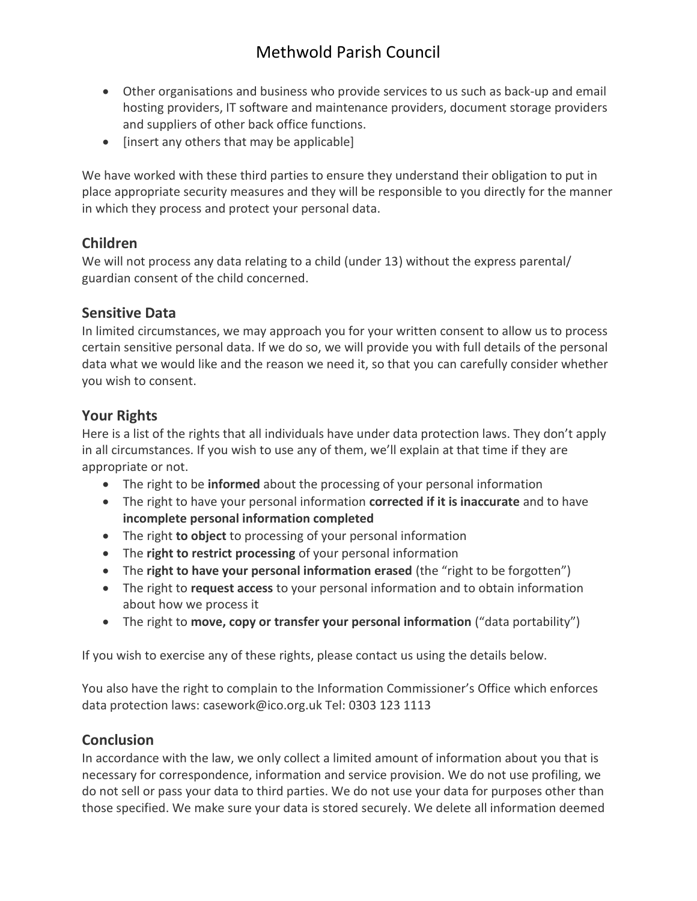- Other organisations and business who provide services to us such as back-up and email hosting providers, IT software and maintenance providers, document storage providers and suppliers of other back office functions.
- [insert any others that may be applicable]

We have worked with these third parties to ensure they understand their obligation to put in place appropriate security measures and they will be responsible to you directly for the manner in which they process and protect your personal data.

## **Children**

We will not process any data relating to a child (under 13) without the express parental/ guardian consent of the child concerned.

## **Sensitive Data**

In limited circumstances, we may approach you for your written consent to allow us to process certain sensitive personal data. If we do so, we will provide you with full details of the personal data what we would like and the reason we need it, so that you can carefully consider whether you wish to consent.

## **Your Rights**

Here is a list of the rights that all individuals have under data protection laws. They don't apply in all circumstances. If you wish to use any of them, we'll explain at that time if they are appropriate or not.

- The right to be **informed** about the processing of your personal information
- The right to have your personal information **corrected if it is inaccurate** and to have **incomplete personal information completed**
- The right **to object** to processing of your personal information
- The **right to restrict processing** of your personal information
- The **right to have your personal information erased** (the "right to be forgotten")
- The right to **request access** to your personal information and to obtain information about how we process it
- The right to **move, copy or transfer your personal information** ("data portability")

If you wish to exercise any of these rights, please contact us using the details below.

You also have the right to complain to the Information Commissioner's Office which enforces data protection laws: [casework@ico.org.uk](mailto:casework@ico.org.uk) Tel: 0303 123 1113

## **Conclusion**

In accordance with the law, we only collect a limited amount of information about you that is necessary for correspondence, information and service provision. We do not use profiling, we do not sell or pass your data to third parties. We do not use your data for purposes other than those specified. We make sure your data is stored securely. We delete all information deemed